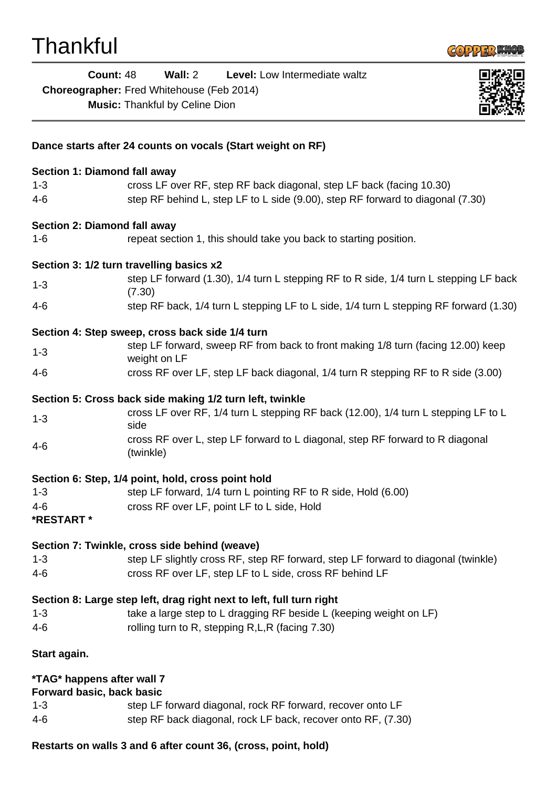

**Count:** 48 **Wall:** 2 **Level:** Low Intermediate waltz **Choreographer:** Fred Whitehouse (Feb 2014) **Music:** Thankful by Celine Dion



## **Dance starts after 24 counts on vocals (Start weight on RF) Section 1: Diamond fall away** 1-3 cross LF over RF, step RF back diagonal, step LF back (facing 10.30) 4-6 step RF behind L, step LF to L side (9.00), step RF forward to diagonal (7.30) **Section 2: Diamond fall away** 1-6 repeat section 1, this should take you back to starting position. **Section 3: 1/2 turn travelling basics x2** 1-3 step LF forward (1.30), 1/4 turn L stepping RF to R side, 1/4 turn L stepping LF back (7.30) 4-6 step RF back, 1/4 turn L stepping LF to L side, 1/4 turn L stepping RF forward (1.30) **Section 4: Step sweep, cross back side 1/4 turn** 1-3 step LF forward, sweep RF from back to front making 1/8 turn (facing 12.00) keep weight on LF 4-6 cross RF over LF, step LF back diagonal, 1/4 turn R stepping RF to R side (3.00) **Section 5: Cross back side making 1/2 turn left, twinkle** 1-3 cross LF over RF, 1/4 turn L stepping RF back (12.00), 1/4 turn L stepping LF to L side 4-6 cross RF over L, step LF forward to L diagonal, step RF forward to R diagonal (twinkle) **Section 6: Step, 1/4 point, hold, cross point hold** 1-3 step LF forward, 1/4 turn L pointing RF to R side, Hold (6.00) 4-6 cross RF over LF, point LF to L side, Hold **\*RESTART \* Section 7: Twinkle, cross side behind (weave)** 1-3 step LF slightly cross RF, step RF forward, step LF forward to diagonal (twinkle) 4-6 cross RF over LF, step LF to L side, cross RF behind LF **Section 8: Large step left, drag right next to left, full turn right** 1-3 take a large step to L dragging RF beside L (keeping weight on LF) 4-6 rolling turn to R, stepping R,L,R (facing 7.30) **Start again. \*TAG\* happens after wall 7 Forward basic, back basic** 1-3 step LF forward diagonal, rock RF forward, recover onto LF 4-6 step RF back diagonal, rock LF back, recover onto RF, (7.30)

**Restarts on walls 3 and 6 after count 36, (cross, point, hold)**